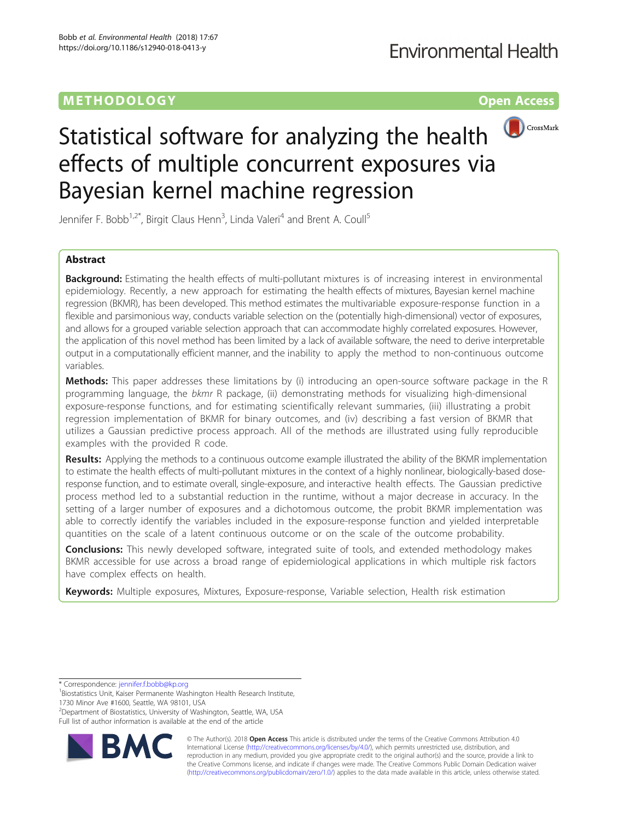## METHODOLOGY CONTROL CONTROL CONTROL CONTROL CONTROL CONTROL CONTROL CONTROL CONTROL CONTROL CONTROL CONTROL CO



# Statistical software for analyzing the health effects of multiple concurrent exposures via Bayesian kernel machine regression

Jennifer F. Bobb<sup>1,2\*</sup>, Birgit Claus Henn<sup>3</sup>, Linda Valeri<sup>4</sup> and Brent A. Coull<sup>5</sup>

## Abstract

Background: Estimating the health effects of multi-pollutant mixtures is of increasing interest in environmental epidemiology. Recently, a new approach for estimating the health effects of mixtures, Bayesian kernel machine regression (BKMR), has been developed. This method estimates the multivariable exposure-response function in a flexible and parsimonious way, conducts variable selection on the (potentially high-dimensional) vector of exposures, and allows for a grouped variable selection approach that can accommodate highly correlated exposures. However, the application of this novel method has been limited by a lack of available software, the need to derive interpretable output in a computationally efficient manner, and the inability to apply the method to non-continuous outcome variables.

**Methods:** This paper addresses these limitations by (i) introducing an open-source software package in the R programming language, the bkmr R package, (ii) demonstrating methods for visualizing high-dimensional exposure-response functions, and for estimating scientifically relevant summaries, (iii) illustrating a probit regression implementation of BKMR for binary outcomes, and (iv) describing a fast version of BKMR that utilizes a Gaussian predictive process approach. All of the methods are illustrated using fully reproducible examples with the provided R code.

Results: Applying the methods to a continuous outcome example illustrated the ability of the BKMR implementation to estimate the health effects of multi-pollutant mixtures in the context of a highly nonlinear, biologically-based doseresponse function, and to estimate overall, single-exposure, and interactive health effects. The Gaussian predictive process method led to a substantial reduction in the runtime, without a major decrease in accuracy. In the setting of a larger number of exposures and a dichotomous outcome, the probit BKMR implementation was able to correctly identify the variables included in the exposure-response function and yielded interpretable quantities on the scale of a latent continuous outcome or on the scale of the outcome probability.

**Conclusions:** This newly developed software, integrated suite of tools, and extended methodology makes BKMR accessible for use across a broad range of epidemiological applications in which multiple risk factors have complex effects on health.

Keywords: Multiple exposures, Mixtures, Exposure-response, Variable selection, Health risk estimation

\* Correspondence: [jennifer.f.bobb@kp.org](mailto:jennifer.f.bobb@kp.org) <sup>1</sup>

<sup>2</sup>Department of Biostatistics, University of Washington, Seattle, WA, USA

Full list of author information is available at the end of the article



© The Author(s). 2018 Open Access This article is distributed under the terms of the Creative Commons Attribution 4.0 International License [\(http://creativecommons.org/licenses/by/4.0/](http://creativecommons.org/licenses/by/4.0/)), which permits unrestricted use, distribution, and reproduction in any medium, provided you give appropriate credit to the original author(s) and the source, provide a link to the Creative Commons license, and indicate if changes were made. The Creative Commons Public Domain Dedication waiver [\(http://creativecommons.org/publicdomain/zero/1.0/](http://creativecommons.org/publicdomain/zero/1.0/)) applies to the data made available in this article, unless otherwise stated.

<sup>&</sup>lt;sup>1</sup>Biostatistics Unit, Kaiser Permanente Washington Health Research Institute, 1730 Minor Ave #1600, Seattle, WA 98101, USA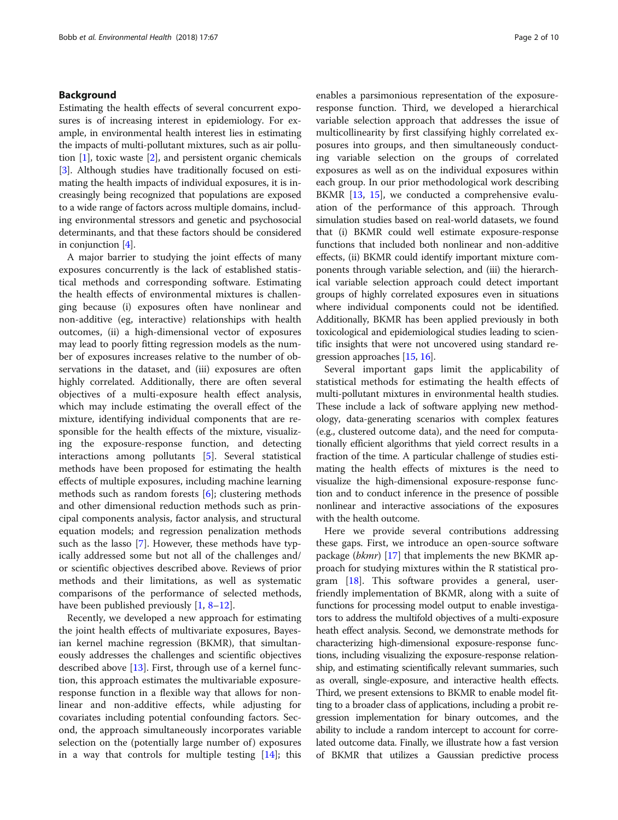## Background

Estimating the health effects of several concurrent exposures is of increasing interest in epidemiology. For example, in environmental health interest lies in estimating the impacts of multi-pollutant mixtures, such as air pollution [\[1\]](#page-9-0), toxic waste [\[2](#page-9-0)], and persistent organic chemicals [[3\]](#page-9-0). Although studies have traditionally focused on estimating the health impacts of individual exposures, it is increasingly being recognized that populations are exposed to a wide range of factors across multiple domains, including environmental stressors and genetic and psychosocial determinants, and that these factors should be considered in conjunction [[4](#page-9-0)].

A major barrier to studying the joint effects of many exposures concurrently is the lack of established statistical methods and corresponding software. Estimating the health effects of environmental mixtures is challenging because (i) exposures often have nonlinear and non-additive (eg, interactive) relationships with health outcomes, (ii) a high-dimensional vector of exposures may lead to poorly fitting regression models as the number of exposures increases relative to the number of observations in the dataset, and (iii) exposures are often highly correlated. Additionally, there are often several objectives of a multi-exposure health effect analysis, which may include estimating the overall effect of the mixture, identifying individual components that are responsible for the health effects of the mixture, visualizing the exposure-response function, and detecting interactions among pollutants [[5\]](#page-9-0). Several statistical methods have been proposed for estimating the health effects of multiple exposures, including machine learning methods such as random forests [\[6](#page-9-0)]; clustering methods and other dimensional reduction methods such as principal components analysis, factor analysis, and structural equation models; and regression penalization methods such as the lasso [[7\]](#page-9-0). However, these methods have typically addressed some but not all of the challenges and/ or scientific objectives described above. Reviews of prior methods and their limitations, as well as systematic comparisons of the performance of selected methods, have been published previously [[1](#page-9-0), [8](#page-9-0)–[12](#page-9-0)].

Recently, we developed a new approach for estimating the joint health effects of multivariate exposures, Bayesian kernel machine regression (BKMR), that simultaneously addresses the challenges and scientific objectives described above [\[13](#page-9-0)]. First, through use of a kernel function, this approach estimates the multivariable exposureresponse function in a flexible way that allows for nonlinear and non-additive effects, while adjusting for covariates including potential confounding factors. Second, the approach simultaneously incorporates variable selection on the (potentially large number of) exposures in a way that controls for multiple testing  $[14]$  $[14]$ ; this enables a parsimonious representation of the exposureresponse function. Third, we developed a hierarchical variable selection approach that addresses the issue of multicollinearity by first classifying highly correlated exposures into groups, and then simultaneously conducting variable selection on the groups of correlated exposures as well as on the individual exposures within each group. In our prior methodological work describing BKMR [[13,](#page-9-0) [15](#page-9-0)], we conducted a comprehensive evaluation of the performance of this approach. Through simulation studies based on real-world datasets, we found that (i) BKMR could well estimate exposure-response functions that included both nonlinear and non-additive effects, (ii) BKMR could identify important mixture components through variable selection, and (iii) the hierarchical variable selection approach could detect important groups of highly correlated exposures even in situations where individual components could not be identified. Additionally, BKMR has been applied previously in both toxicological and epidemiological studies leading to scientific insights that were not uncovered using standard regression approaches [[15](#page-9-0), [16\]](#page-9-0).

Several important gaps limit the applicability of statistical methods for estimating the health effects of multi-pollutant mixtures in environmental health studies. These include a lack of software applying new methodology, data-generating scenarios with complex features (e.g., clustered outcome data), and the need for computationally efficient algorithms that yield correct results in a fraction of the time. A particular challenge of studies estimating the health effects of mixtures is the need to visualize the high-dimensional exposure-response function and to conduct inference in the presence of possible nonlinear and interactive associations of the exposures with the health outcome.

Here we provide several contributions addressing these gaps. First, we introduce an open-source software package (bkmr) [[17](#page-9-0)] that implements the new BKMR approach for studying mixtures within the R statistical program [\[18\]](#page-9-0). This software provides a general, userfriendly implementation of BKMR, along with a suite of functions for processing model output to enable investigators to address the multifold objectives of a multi-exposure heath effect analysis. Second, we demonstrate methods for characterizing high-dimensional exposure-response functions, including visualizing the exposure-response relationship, and estimating scientifically relevant summaries, such as overall, single-exposure, and interactive health effects. Third, we present extensions to BKMR to enable model fitting to a broader class of applications, including a probit regression implementation for binary outcomes, and the ability to include a random intercept to account for correlated outcome data. Finally, we illustrate how a fast version of BKMR that utilizes a Gaussian predictive process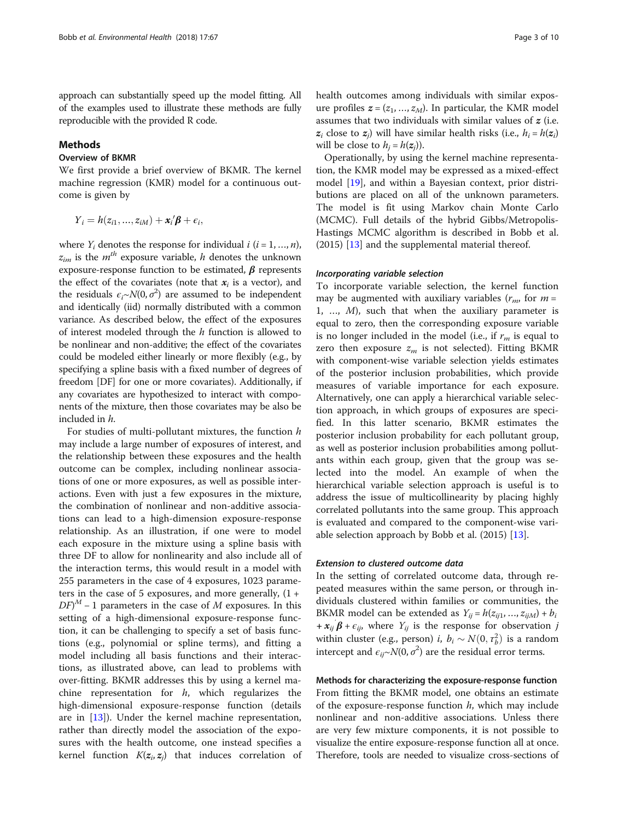approach can substantially speed up the model fitting. All of the examples used to illustrate these methods are fully reproducible with the provided R code.

## Methods

## Overview of BKMR

We first provide a brief overview of BKMR. The kernel machine regression (KMR) model for a continuous outcome is given by

$$
Y_i = h(z_{i1},...,z_{iM}) + \mathbf{x}_i'\mathbf{\beta} + \epsilon_i,
$$

where  $Y_i$  denotes the response for individual  $i$  ( $i = 1, ..., n$ ),  $z_{im}$  is the  $m^{th}$  exposure variable, h denotes the unknown exposure-response function to be estimated,  $\beta$  represents the effect of the covariates (note that  $x_i$  is a vector), and the residuals  $\epsilon_i \sim N(0, \sigma^2)$  are assumed to be independent<br>and identically (iid) pormally distributed with a common and identically (iid) normally distributed with a common variance. As described below, the effect of the exposures of interest modeled through the  $h$  function is allowed to be nonlinear and non-additive; the effect of the covariates could be modeled either linearly or more flexibly (e.g., by specifying a spline basis with a fixed number of degrees of freedom [DF] for one or more covariates). Additionally, if any covariates are hypothesized to interact with components of the mixture, then those covariates may be also be included in h.

For studies of multi-pollutant mixtures, the function  $h$ may include a large number of exposures of interest, and the relationship between these exposures and the health outcome can be complex, including nonlinear associations of one or more exposures, as well as possible interactions. Even with just a few exposures in the mixture, the combination of nonlinear and non-additive associations can lead to a high-dimension exposure-response relationship. As an illustration, if one were to model each exposure in the mixture using a spline basis with three DF to allow for nonlinearity and also include all of the interaction terms, this would result in a model with 255 parameters in the case of 4 exposures, 1023 parameters in the case of 5 exposures, and more generally,  $(1 +$  $DF^M - 1$  parameters in the case of M exposures. In this esting of a high-dimensional exposure-response funcsetting of a high-dimensional exposure-response function, it can be challenging to specify a set of basis functions (e.g., polynomial or spline terms), and fitting a model including all basis functions and their interactions, as illustrated above, can lead to problems with over-fitting. BKMR addresses this by using a kernel machine representation for  $h$ , which regularizes the high-dimensional exposure-response function (details are in [[13](#page-9-0)]). Under the kernel machine representation, rather than directly model the association of the exposures with the health outcome, one instead specifies a kernel function  $K(z_i, z_j)$  that induces correlation of health outcomes among individuals with similar exposure profiles  $z = (z_1, ..., z_M)$ . In particular, the KMR model assumes that two individuals with similar values of  $z$  (i.e.  $z_i$  close to  $z_i$ ) will have similar health risks (i.e.,  $h_i = h(z_i)$ ) will be close to  $h_i = h(z_i)$ ).

Operationally, by using the kernel machine representation, the KMR model may be expressed as a mixed-effect model [\[19](#page-9-0)], and within a Bayesian context, prior distributions are placed on all of the unknown parameters. The model is fit using Markov chain Monte Carlo (MCMC). Full details of the hybrid Gibbs/Metropolis-Hastings MCMC algorithm is described in Bobb et al. (2015) [[13\]](#page-9-0) and the supplemental material thereof.

## Incorporating variable selection

To incorporate variable selection, the kernel function may be augmented with auxiliary variables ( $r_m$ , for  $m =$ 1, ...,  $M$ ), such that when the auxiliary parameter is equal to zero, then the corresponding exposure variable is no longer included in the model (i.e., if  $r_m$  is equal to zero then exposure  $z_m$  is not selected). Fitting BKMR with component-wise variable selection yields estimates of the posterior inclusion probabilities, which provide measures of variable importance for each exposure. Alternatively, one can apply a hierarchical variable selection approach, in which groups of exposures are specified. In this latter scenario, BKMR estimates the posterior inclusion probability for each pollutant group, as well as posterior inclusion probabilities among pollutants within each group, given that the group was selected into the model. An example of when the hierarchical variable selection approach is useful is to address the issue of multicollinearity by placing highly correlated pollutants into the same group. This approach is evaluated and compared to the component-wise variable selection approach by Bobb et al. (2015) [[13\]](#page-9-0).

## Extension to clustered outcome data

In the setting of correlated outcome data, through repeated measures within the same person, or through individuals clustered within families or communities, the BKMR model can be extended as  $Y_{ij} = h(z_{ij1}, ..., z_{ijM}) + b_i$ +  $x_{ij}$   $\beta$  +  $\epsilon_{ij}$ , where  $Y_{ij}$  is the response for observation j within cluster (e.g., person) *i*,  $b_i \sim N(0, \tau_b^2)$  is a random<br>intercent and  $c \sim N(0, \sigma^2)$  are the residual error terms intercept and  $\epsilon_{ij} \sim N(0, \sigma^2)$  are the residual error terms.

Methods for characterizing the exposure-response function From fitting the BKMR model, one obtains an estimate of the exposure-response function  $h$ , which may include nonlinear and non-additive associations. Unless there are very few mixture components, it is not possible to visualize the entire exposure-response function all at once. Therefore, tools are needed to visualize cross-sections of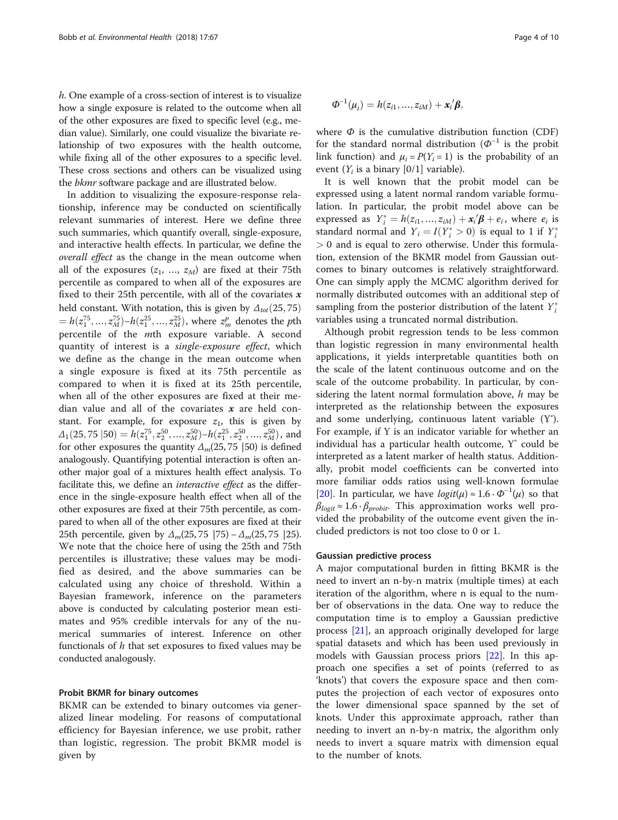h. One example of a cross-section of interest is to visualize how a single exposure is related to the outcome when all of the other exposures are fixed to specific level (e.g., median value). Similarly, one could visualize the bivariate relationship of two exposures with the health outcome, while fixing all of the other exposures to a specific level. These cross sections and others can be visualized using the *bkmr* software package and are illustrated below.

In addition to visualizing the exposure-response relationship, inference may be conducted on scientifically relevant summaries of interest. Here we define three such summaries, which quantify overall, single-exposure, and interactive health effects. In particular, we define the overall effect as the change in the mean outcome when all of the exposures  $(z_1, ..., z_M)$  are fixed at their 75th percentile as compared to when all of the exposures are fixed to their 25th percentile, with all of the covariates  $x$ held constant. With notation, this is given by  $\Delta_{tot}(25, 75)$  $= h(z_1^{75},...,z_M^{75})-h(z_1^{25},...,z_M^{25})$ , where  $z_M^p$  denotes the *p*th<br>percentile of the *urth* exposure variable A second percentile of the mth exposure variable. A second quantity of interest is a single-exposure effect, which we define as the change in the mean outcome when a single exposure is fixed at its 75th percentile as compared to when it is fixed at its 25th percentile, when all of the other exposures are fixed at their median value and all of the covariates  $x$  are held constant. For example, for exposure  $z_1$ , this is given by  $\Delta_1(25, 75 \mid 50) = h(z_1^{75}, z_2^{50}, ..., z_{M}^{50}) - h(z_1^{25}, z_2^{50}, ..., z_{M}^{50}),$  and<br>for other expecting the quantity  $\Delta_1(25, 75 \mid 50)$  is defined for other exposures the quantity  $\Delta_m(25, 75 \mid 50)$  is defined analogously. Quantifying potential interaction is often another major goal of a mixtures health effect analysis. To facilitate this, we define an interactive effect as the difference in the single-exposure health effect when all of the other exposures are fixed at their 75th percentile, as compared to when all of the other exposures are fixed at their 25th percentile, given by  $\Delta_m(25, 75 \mid 75) - \Delta_m(25, 75 \mid 25)$ . We note that the choice here of using the 25th and 75th percentiles is illustrative; these values may be modified as desired, and the above summaries can be calculated using any choice of threshold. Within a Bayesian framework, inference on the parameters above is conducted by calculating posterior mean estimates and 95% credible intervals for any of the numerical summaries of interest. Inference on other functionals of  $h$  that set exposures to fixed values may be conducted analogously.

## Probit BKMR for binary outcomes

BKMR can be extended to binary outcomes via generalized linear modeling. For reasons of computational efficiency for Bayesian inference, we use probit, rather than logistic, regression. The probit BKMR model is given by

$$
\Phi^{-1}(\mu_i) = h(z_{i1},...,z_{iM}) + \mathbf{x}_i'\mathbf{\beta},
$$

where  $\Phi$  is the cumulative distribution function (CDF) for the standard normal distribution  $(\Phi^{-1})$  is the probit link function) and  $\mu_i = P(Y_i = 1)$  is the probability of an event  $(Y_i$  is a binary [0/1] variable).

It is well known that the probit model can be expressed using a latent normal random variable formulation. In particular, the probit model above can be expressed as  $Y_i^* = h(z_{i1}, ..., z_{iM}) + x_i'\beta + e_i$ , where  $e_i$  is<br>standard normal and  $Y_i = I(Y^* > 0)$  is equal to 1 if  $Y^*$ standard normal and  $Y_i = I(Y_i^* > 0)$  is equal to 1 if  $Y_i^* > 0$  and is equal to zero otherwise. Under this formula i > 0 and is equal to zero otherwise. Under this formulation, extension of the BKMR model from Gaussian outcomes to binary outcomes is relatively straightforward. One can simply apply the MCMC algorithm derived for normally distributed outcomes with an additional step of sampling from the posterior distribution of the latent  $Y_i^*$ variables using a truncated normal distribution.

Although probit regression tends to be less common than logistic regression in many environmental health applications, it yields interpretable quantities both on the scale of the latent continuous outcome and on the scale of the outcome probability. In particular, by considering the latent normal formulation above,  $h$  may be interpreted as the relationship between the exposures and some underlying, continuous latent variable (Y\*). For example, if Y is an indicator variable for whether an individual has a particular health outcome, Y<sup>∗</sup> could be interpreted as a latent marker of health status. Additionally, probit model coefficients can be converted into more familiar odds ratios using well-known formulae [[20\]](#page-9-0). In particular, we have  $logit(\mu) \approx 1.6 \cdot \Phi^{-1}(\mu)$  so that  $\beta_{\text{max}} \approx 1.6 \cdot \beta_{\text{max}}$ . This approximation works well pro- $\beta_{logit} \approx 1.6 \cdot \beta_{probit}$ . This approximation works well provided the probability of the outcome event given the included predictors is not too close to 0 or 1.

## Gaussian predictive process

A major computational burden in fitting BKMR is the need to invert an n-by-n matrix (multiple times) at each iteration of the algorithm, where n is equal to the number of observations in the data. One way to reduce the computation time is to employ a Gaussian predictive process [\[21\]](#page-9-0), an approach originally developed for large spatial datasets and which has been used previously in models with Gaussian process priors [[22](#page-9-0)]. In this approach one specifies a set of points (referred to as 'knots') that covers the exposure space and then computes the projection of each vector of exposures onto the lower dimensional space spanned by the set of knots. Under this approximate approach, rather than needing to invert an n-by-n matrix, the algorithm only needs to invert a square matrix with dimension equal to the number of knots.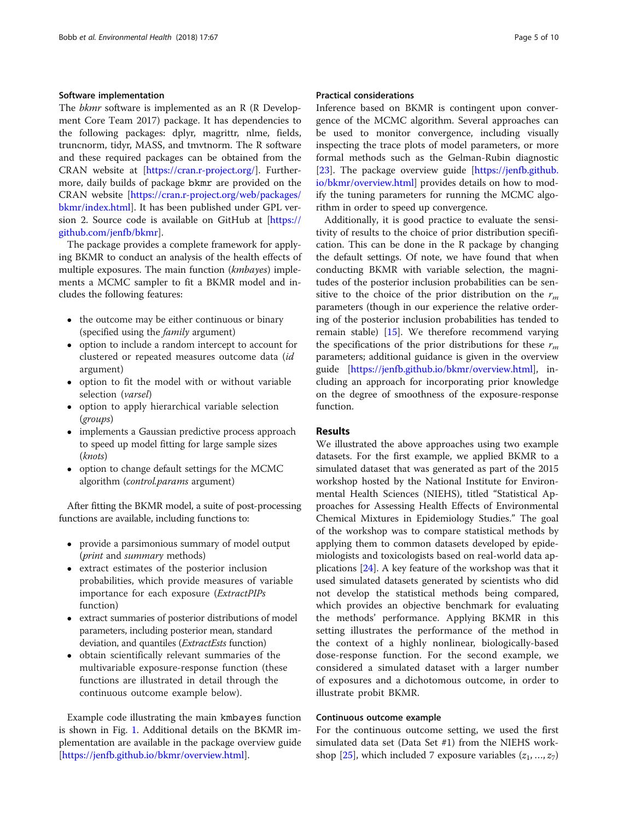## Software implementation

The *bkmr* software is implemented as an R (R Development Core Team 2017) package. It has dependencies to the following packages: dplyr, magrittr, nlme, fields, truncnorm, tidyr, MASS, and tmvtnorm. The R software and these required packages can be obtained from the CRAN website at [[https://cran.r-project.org/\]](https://cran.r-project.org/). Furthermore, daily builds of package bkmr are provided on the CRAN website [[https://cran.r-project.org/web/packages/](https://cran.r-project.org/web/packages/bkmr/index.html) [bkmr/index.html\]](https://cran.r-project.org/web/packages/bkmr/index.html). It has been published under GPL version 2. Source code is available on GitHub at [\[https://](https://github.com/jenfb/bkmr) [github.com/jenfb/bkmr](https://github.com/jenfb/bkmr)].

The package provides a complete framework for applying BKMR to conduct an analysis of the health effects of multiple exposures. The main function (kmbayes) implements a MCMC sampler to fit a BKMR model and includes the following features:

- the outcome may be either continuous or binary (specified using the family argument)
- option to include a random intercept to account for clustered or repeated measures outcome data (id argument)
- option to fit the model with or without variable selection (varsel)
- option to apply hierarchical variable selection (groups)
- implements a Gaussian predictive process approach to speed up model fitting for large sample sizes (knots)
- option to change default settings for the MCMC algorithm (control.params argument)

After fitting the BKMR model, a suite of post-processing functions are available, including functions to:

- provide a parsimonious summary of model output (print and summary methods)
- extract estimates of the posterior inclusion probabilities, which provide measures of variable importance for each exposure (ExtractPIPs function)
- extract summaries of posterior distributions of model parameters, including posterior mean, standard deviation, and quantiles (ExtractEsts function)
- obtain scientifically relevant summaries of the multivariable exposure-response function (these functions are illustrated in detail through the continuous outcome example below).

Example code illustrating the main kmbayes function is shown in Fig. [1.](#page-5-0) Additional details on the BKMR implementation are available in the package overview guide [<https://jenfb.github.io/bkmr/overview.html>].

## Practical considerations

Inference based on BKMR is contingent upon convergence of the MCMC algorithm. Several approaches can be used to monitor convergence, including visually inspecting the trace plots of model parameters, or more formal methods such as the Gelman-Rubin diagnostic [[23\]](#page-9-0). The package overview guide [[https://jenfb.github.](https://jenfb.github.io/bkmr/overview.html) [io/bkmr/overview.html](https://jenfb.github.io/bkmr/overview.html)] provides details on how to modify the tuning parameters for running the MCMC algorithm in order to speed up convergence.

Additionally, it is good practice to evaluate the sensitivity of results to the choice of prior distribution specification. This can be done in the R package by changing the default settings. Of note, we have found that when conducting BKMR with variable selection, the magnitudes of the posterior inclusion probabilities can be sensitive to the choice of the prior distribution on the  $r_m$ parameters (though in our experience the relative ordering of the posterior inclusion probabilities has tended to remain stable) [\[15](#page-9-0)]. We therefore recommend varying the specifications of the prior distributions for these  $r_m$ parameters; additional guidance is given in the overview guide [\[https://jenfb.github.io/bkmr/overview.html\]](https://jenfb.github.io/bkmr/overview.html), including an approach for incorporating prior knowledge on the degree of smoothness of the exposure-response function.

## **Results**

We illustrated the above approaches using two example datasets. For the first example, we applied BKMR to a simulated dataset that was generated as part of the 2015 workshop hosted by the National Institute for Environmental Health Sciences (NIEHS), titled "Statistical Approaches for Assessing Health Effects of Environmental Chemical Mixtures in Epidemiology Studies." The goal of the workshop was to compare statistical methods by applying them to common datasets developed by epidemiologists and toxicologists based on real-world data applications [[24\]](#page-9-0). A key feature of the workshop was that it used simulated datasets generated by scientists who did not develop the statistical methods being compared, which provides an objective benchmark for evaluating the methods' performance. Applying BKMR in this setting illustrates the performance of the method in the context of a highly nonlinear, biologically-based dose-response function. For the second example, we considered a simulated dataset with a larger number of exposures and a dichotomous outcome, in order to illustrate probit BKMR.

## Continuous outcome example

For the continuous outcome setting, we used the first simulated data set (Data Set #1) from the NIEHS work-shop [\[25](#page-9-0)], which included 7 exposure variables  $(z_1, ..., z_7)$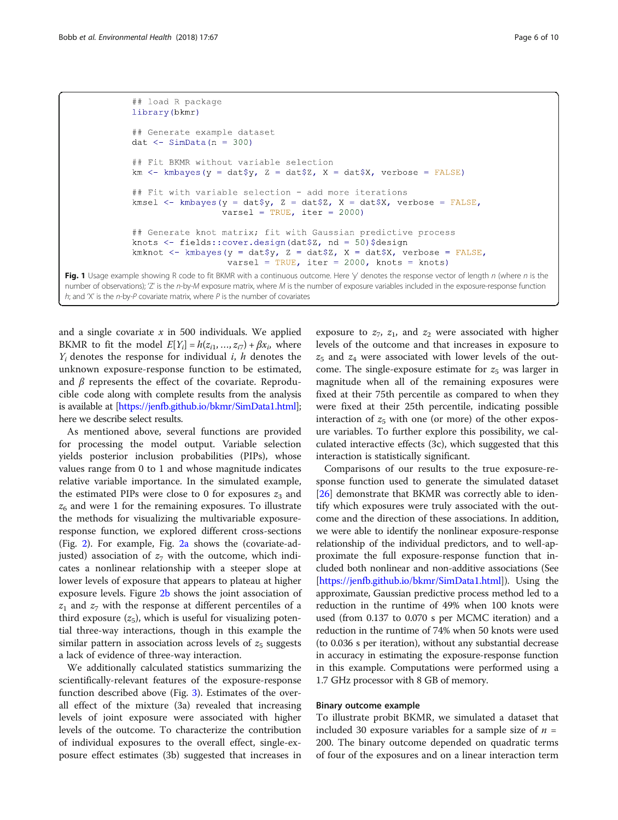```
## load R package
              library(bkmr)
              ## Generate example dataset
              dat \le - SimData (n = 300)
              ## Fit BKMR without variable selection
              km <- kmbayes (y = dat$y, Z = dat$Z, X = dat$X, verbose = FALSE)
              ## Fit with variable selection - add more iterations
              kmsel <- kmbayes(y = dat$y, Z = dat$Z, X = dat$X, verbose = FALSE,
                                  varsel = TRUE, iter = 2000)
              ## Generate knot matrix; fit with Gaussian predictive process
              knots <- fields::cover.design(dat$Z, nd = 50)$design
              kmknot <- kmbayes(y = dat$y, Z = dat$Z, X = dat$X, verbose = FALSE,
                                   varsel = TRUE, iter = 2000, knots = knots)
Fig. 1 Usage example showing R code to fit BKMR with a continuous outcome. Here 'y' denotes the response vector of length n (where n is the
number of observations); 'Z' is the n-by-M exposure matrix, where M is the number of exposure variables included in the exposure-response function
```
h; and 'X' is the  $n$ -by-P covariate matrix, where P is the number of covariates

and a single covariate  $x$  in 500 individuals. We applied BKMR to fit the model  $E[Y_i] = h(z_{i1}, ..., z_{i7}) + \beta x_i$ , where  $Y_i$  denotes the response for individual i, h denotes the unknown exposure-response function to be estimated, and  $\beta$  represents the effect of the covariate. Reproducible code along with complete results from the analysis is available at [\[https://jenfb.github.io/bkmr/SimData1.html](https://jenfb.github.io/bkmr/SimData1.html)]; here we describe select results.

As mentioned above, several functions are provided for processing the model output. Variable selection yields posterior inclusion probabilities (PIPs), whose values range from 0 to 1 and whose magnitude indicates relative variable importance. In the simulated example, the estimated PIPs were close to 0 for exposures  $z_3$  and  $z<sub>6</sub>$  and were 1 for the remaining exposures. To illustrate the methods for visualizing the multivariable exposureresponse function, we explored different cross-sections (Fig. [2](#page-6-0)). For example, Fig. [2a](#page-6-0) shows the (covariate-adjusted) association of  $z_7$  with the outcome, which indicates a nonlinear relationship with a steeper slope at lower levels of exposure that appears to plateau at higher exposure levels. Figure [2b](#page-6-0) shows the joint association of  $z_1$  and  $z_7$  with the response at different percentiles of a third exposure  $(z_5)$ , which is useful for visualizing potential three-way interactions, though in this example the similar pattern in association across levels of  $z_5$  suggests a lack of evidence of three-way interaction.

We additionally calculated statistics summarizing the scientifically-relevant features of the exposure-response function described above (Fig. [3](#page-7-0)). Estimates of the overall effect of the mixture (3a) revealed that increasing levels of joint exposure were associated with higher levels of the outcome. To characterize the contribution of individual exposures to the overall effect, single-exposure effect estimates (3b) suggested that increases in

exposure to  $z_7$ ,  $z_1$ , and  $z_2$  were associated with higher levels of the outcome and that increases in exposure to  $z_5$  and  $z_4$  were associated with lower levels of the outcome. The single-exposure estimate for  $z_5$  was larger in magnitude when all of the remaining exposures were fixed at their 75th percentile as compared to when they were fixed at their 25th percentile, indicating possible interaction of  $z_5$  with one (or more) of the other exposure variables. To further explore this possibility, we calculated interactive effects (3c), which suggested that this interaction is statistically significant.

Comparisons of our results to the true exposure-response function used to generate the simulated dataset [[26\]](#page-9-0) demonstrate that BKMR was correctly able to identify which exposures were truly associated with the outcome and the direction of these associations. In addition, we were able to identify the nonlinear exposure-response relationship of the individual predictors, and to well-approximate the full exposure-response function that included both nonlinear and non-additive associations (See [[https://jenfb.github.io/bkmr/SimData1.html\]](https://jenfb.github.io/bkmr/SimData1.html)). Using the approximate, Gaussian predictive process method led to a reduction in the runtime of 49% when 100 knots were used (from 0.137 to 0.070 s per MCMC iteration) and a reduction in the runtime of 74% when 50 knots were used (to 0.036 s per iteration), without any substantial decrease in accuracy in estimating the exposure-response function in this example. Computations were performed using a 1.7 GHz processor with 8 GB of memory.

## Binary outcome example

To illustrate probit BKMR, we simulated a dataset that included 30 exposure variables for a sample size of  $n =$ 200. The binary outcome depended on quadratic terms of four of the exposures and on a linear interaction term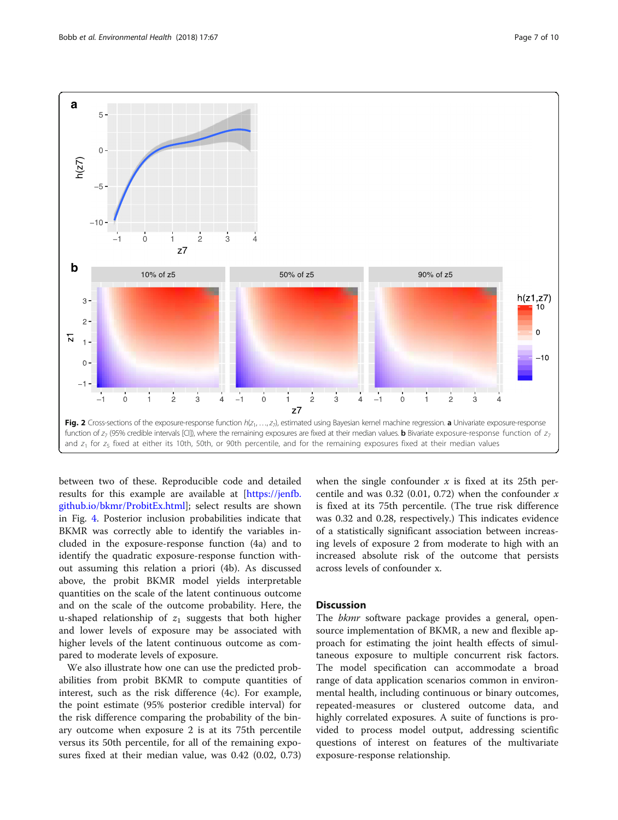<span id="page-6-0"></span>

between two of these. Reproducible code and detailed results for this example are available at [[https://jenfb.](https://jenfb.github.io/bkmr/ProbitEx.html) [github.io/bkmr/ProbitEx.html\]](https://jenfb.github.io/bkmr/ProbitEx.html); select results are shown in Fig. [4](#page-8-0). Posterior inclusion probabilities indicate that BKMR was correctly able to identify the variables included in the exposure-response function (4a) and to identify the quadratic exposure-response function without assuming this relation a priori (4b). As discussed above, the probit BKMR model yields interpretable quantities on the scale of the latent continuous outcome and on the scale of the outcome probability. Here, the u-shaped relationship of  $z_1$  suggests that both higher and lower levels of exposure may be associated with higher levels of the latent continuous outcome as compared to moderate levels of exposure.

We also illustrate how one can use the predicted probabilities from probit BKMR to compute quantities of interest, such as the risk difference (4c). For example, the point estimate (95% posterior credible interval) for the risk difference comparing the probability of the binary outcome when exposure 2 is at its 75th percentile versus its 50th percentile, for all of the remaining exposures fixed at their median value, was 0.42 (0.02, 0.73) when the single confounder  $x$  is fixed at its 25th percentile and was 0.32 (0.01, 0.72) when the confounder  $x$ is fixed at its 75th percentile. (The true risk difference was 0.32 and 0.28, respectively.) This indicates evidence of a statistically significant association between increasing levels of exposure 2 from moderate to high with an increased absolute risk of the outcome that persists across levels of confounder x.

## Discussion

The bkmr software package provides a general, opensource implementation of BKMR, a new and flexible approach for estimating the joint health effects of simultaneous exposure to multiple concurrent risk factors. The model specification can accommodate a broad range of data application scenarios common in environmental health, including continuous or binary outcomes, repeated-measures or clustered outcome data, and highly correlated exposures. A suite of functions is provided to process model output, addressing scientific questions of interest on features of the multivariate exposure-response relationship.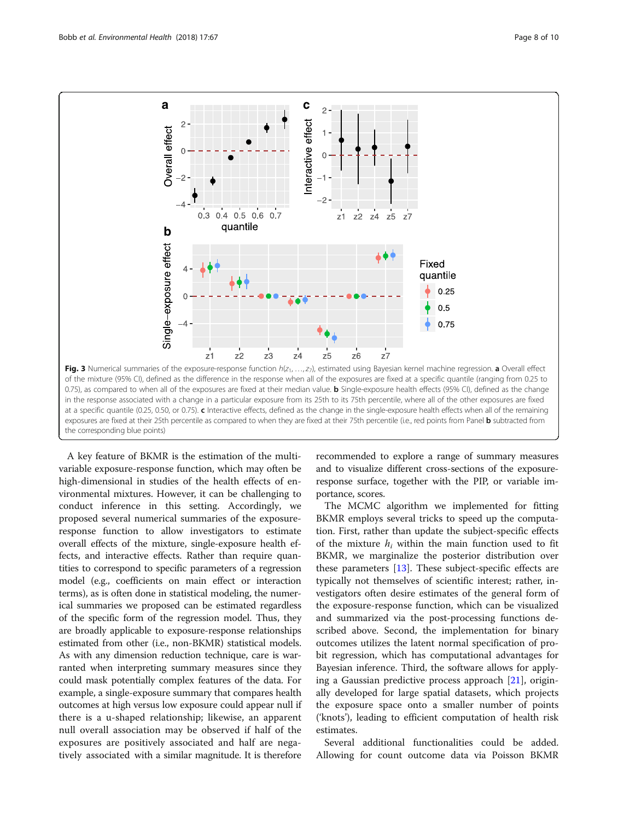<span id="page-7-0"></span>

A key feature of BKMR is the estimation of the multivariable exposure-response function, which may often be high-dimensional in studies of the health effects of environmental mixtures. However, it can be challenging to conduct inference in this setting. Accordingly, we proposed several numerical summaries of the exposureresponse function to allow investigators to estimate overall effects of the mixture, single-exposure health effects, and interactive effects. Rather than require quantities to correspond to specific parameters of a regression model (e.g., coefficients on main effect or interaction terms), as is often done in statistical modeling, the numerical summaries we proposed can be estimated regardless of the specific form of the regression model. Thus, they are broadly applicable to exposure-response relationships estimated from other (i.e., non-BKMR) statistical models. As with any dimension reduction technique, care is warranted when interpreting summary measures since they could mask potentially complex features of the data. For example, a single-exposure summary that compares health outcomes at high versus low exposure could appear null if there is a u-shaped relationship; likewise, an apparent null overall association may be observed if half of the exposures are positively associated and half are negatively associated with a similar magnitude. It is therefore

recommended to explore a range of summary measures and to visualize different cross-sections of the exposureresponse surface, together with the PIP, or variable importance, scores.

The MCMC algorithm we implemented for fitting BKMR employs several tricks to speed up the computation. First, rather than update the subject-specific effects of the mixture  $h_i$  within the main function used to fit BKMR, we marginalize the posterior distribution over these parameters  $[13]$  $[13]$ . These subject-specific effects are typically not themselves of scientific interest; rather, investigators often desire estimates of the general form of the exposure-response function, which can be visualized and summarized via the post-processing functions described above. Second, the implementation for binary outcomes utilizes the latent normal specification of probit regression, which has computational advantages for Bayesian inference. Third, the software allows for applying a Gaussian predictive process approach [\[21\]](#page-9-0), originally developed for large spatial datasets, which projects the exposure space onto a smaller number of points ('knots'), leading to efficient computation of health risk estimates.

Several additional functionalities could be added. Allowing for count outcome data via Poisson BKMR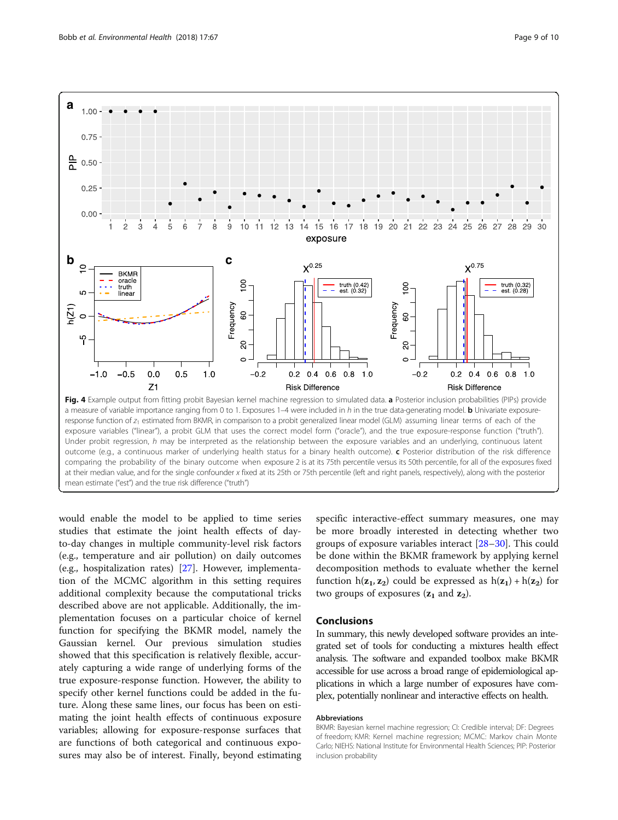<span id="page-8-0"></span>

would enable the model to be applied to time series studies that estimate the joint health effects of dayto-day changes in multiple community-level risk factors (e.g., temperature and air pollution) on daily outcomes (e.g., hospitalization rates) [[27](#page-9-0)]. However, implementation of the MCMC algorithm in this setting requires additional complexity because the computational tricks described above are not applicable. Additionally, the implementation focuses on a particular choice of kernel function for specifying the BKMR model, namely the Gaussian kernel. Our previous simulation studies showed that this specification is relatively flexible, accurately capturing a wide range of underlying forms of the true exposure-response function. However, the ability to specify other kernel functions could be added in the future. Along these same lines, our focus has been on estimating the joint health effects of continuous exposure variables; allowing for exposure-response surfaces that are functions of both categorical and continuous exposures may also be of interest. Finally, beyond estimating

specific interactive-effect summary measures, one may be more broadly interested in detecting whether two groups of exposure variables interact [\[28](#page-9-0)–[30\]](#page-9-0). This could be done within the BKMR framework by applying kernel decomposition methods to evaluate whether the kernel function  $h(z_1, z_2)$  could be expressed as  $h(z_1) + h(z_2)$  for two groups of exposures  $(z_1 \text{ and } z_2)$ .

## Conclusions

In summary, this newly developed software provides an integrated set of tools for conducting a mixtures health effect analysis. The software and expanded toolbox make BKMR accessible for use across a broad range of epidemiological applications in which a large number of exposures have complex, potentially nonlinear and interactive effects on health.

#### Abbreviations

BKMR: Bayesian kernel machine regression; CI: Credible interval; DF: Degrees of freedom; KMR: Kernel machine regression; MCMC: Markov chain Monte Carlo; NIEHS: National Institute for Environmental Health Sciences; PIP: Posterior inclusion probability